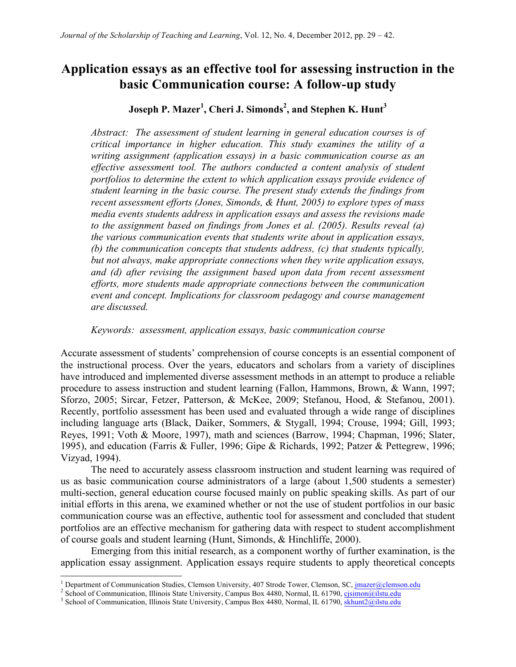# **Application essays as an effective tool for assessing instruction in the basic Communication course: A follow-up study**

## **Joseph P. Mazer<sup>1</sup> , Cheri J. Simonds2 , and Stephen K. Hunt<sup>3</sup>**

*Abstract: The assessment of student learning in general education courses is of critical importance in higher education. This study examines the utility of a writing assignment (application essays) in a basic communication course as an effective assessment tool. The authors conducted a content analysis of student portfolios to determine the extent to which application essays provide evidence of student learning in the basic course. The present study extends the findings from recent assessment efforts (Jones, Simonds, & Hunt, 2005) to explore types of mass media events students address in application essays and assess the revisions made to the assignment based on findings from Jones et al. (2005). Results reveal (a) the various communication events that students write about in application essays, (b) the communication concepts that students address, (c) that students typically, but not always, make appropriate connections when they write application essays,*  and (d) after revising the assignment based upon data from recent assessment *efforts, more students made appropriate connections between the communication event and concept. Implications for classroom pedagogy and course management are discussed.*

*Keywords: assessment, application essays, basic communication course*

Accurate assessment of students' comprehension of course concepts is an essential component of the instructional process. Over the years, educators and scholars from a variety of disciplines have introduced and implemented diverse assessment methods in an attempt to produce a reliable procedure to assess instruction and student learning (Fallon, Hammons, Brown, & Wann, 1997; Sforzo, 2005; Sircar, Fetzer, Patterson, & McKee, 2009; Stefanou, Hood, & Stefanou, 2001). Recently, portfolio assessment has been used and evaluated through a wide range of disciplines including language arts (Black, Daiker, Sommers, & Stygall, 1994; Crouse, 1994; Gill, 1993; Reyes, 1991; Voth & Moore, 1997), math and sciences (Barrow, 1994; Chapman, 1996; Slater, 1995), and education (Farris & Fuller, 1996; Gipe & Richards, 1992; Patzer & Pettegrew, 1996; Vizyad, 1994).

The need to accurately assess classroom instruction and student learning was required of us as basic communication course administrators of a large (about 1,500 students a semester) multi-section, general education course focused mainly on public speaking skills. As part of our initial efforts in this arena, we examined whether or not the use of student portfolios in our basic communication course was an effective, authentic tool for assessment and concluded that student portfolios are an effective mechanism for gathering data with respect to student accomplishment of course goals and student learning (Hunt, Simonds, & Hinchliffe, 2000).

Emerging from this initial research, as a component worthy of further examination, is the application essay assignment. Application essays require students to apply theoretical concepts

<sup>&</sup>lt;sup>1</sup> Department of Communication Studies, Clemson University, 407 Strode Tower, Clemson, SC,  $\frac{1}{2}$  School of Communication, Illinois State University, Campus Box 4480, Normal, IL 61790,  $\frac{c}{2}$  School of Communicatio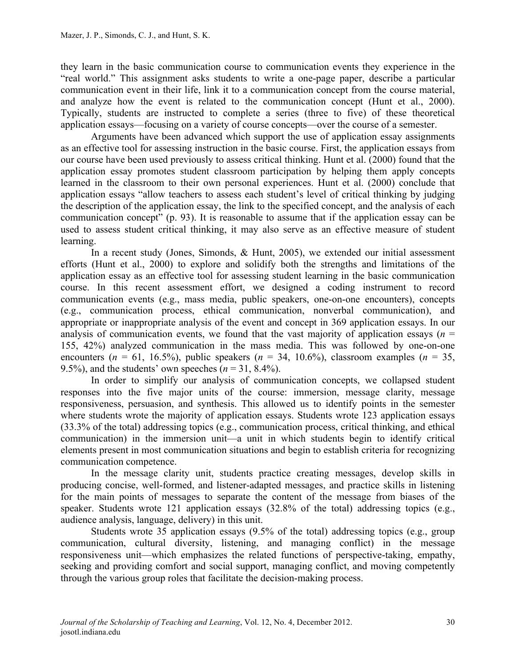they learn in the basic communication course to communication events they experience in the "real world." This assignment asks students to write a one-page paper, describe a particular communication event in their life, link it to a communication concept from the course material, and analyze how the event is related to the communication concept (Hunt et al., 2000). Typically, students are instructed to complete a series (three to five) of these theoretical application essays—focusing on a variety of course concepts—over the course of a semester.

Arguments have been advanced which support the use of application essay assignments as an effective tool for assessing instruction in the basic course. First, the application essays from our course have been used previously to assess critical thinking. Hunt et al. (2000) found that the application essay promotes student classroom participation by helping them apply concepts learned in the classroom to their own personal experiences. Hunt et al. (2000) conclude that application essays "allow teachers to assess each student's level of critical thinking by judging the description of the application essay, the link to the specified concept, and the analysis of each communication concept" (p. 93). It is reasonable to assume that if the application essay can be used to assess student critical thinking, it may also serve as an effective measure of student learning.

In a recent study (Jones, Simonds, & Hunt, 2005), we extended our initial assessment efforts (Hunt et al., 2000) to explore and solidify both the strengths and limitations of the application essay as an effective tool for assessing student learning in the basic communication course. In this recent assessment effort, we designed a coding instrument to record communication events (e.g., mass media, public speakers, one-on-one encounters), concepts (e.g., communication process, ethical communication, nonverbal communication), and appropriate or inappropriate analysis of the event and concept in 369 application essays. In our analysis of communication events, we found that the vast majority of application essays ( $n =$ 155, 42%) analyzed communication in the mass media. This was followed by one-on-one encounters ( $n = 61$ , 16.5%), public speakers ( $n = 34$ , 10.6%), classroom examples ( $n = 35$ , 9.5%), and the students' own speeches  $(n = 31, 8.4\%)$ .

In order to simplify our analysis of communication concepts, we collapsed student responses into the five major units of the course: immersion, message clarity, message responsiveness, persuasion, and synthesis. This allowed us to identify points in the semester where students wrote the majority of application essays. Students wrote 123 application essays (33.3% of the total) addressing topics (e.g., communication process, critical thinking, and ethical communication) in the immersion unit—a unit in which students begin to identify critical elements present in most communication situations and begin to establish criteria for recognizing communication competence.

In the message clarity unit, students practice creating messages, develop skills in producing concise, well-formed, and listener-adapted messages, and practice skills in listening for the main points of messages to separate the content of the message from biases of the speaker. Students wrote 121 application essays (32.8% of the total) addressing topics (e.g., audience analysis, language, delivery) in this unit.

Students wrote 35 application essays (9.5% of the total) addressing topics (e.g., group communication, cultural diversity, listening, and managing conflict) in the message responsiveness unit—which emphasizes the related functions of perspective-taking, empathy, seeking and providing comfort and social support, managing conflict, and moving competently through the various group roles that facilitate the decision-making process.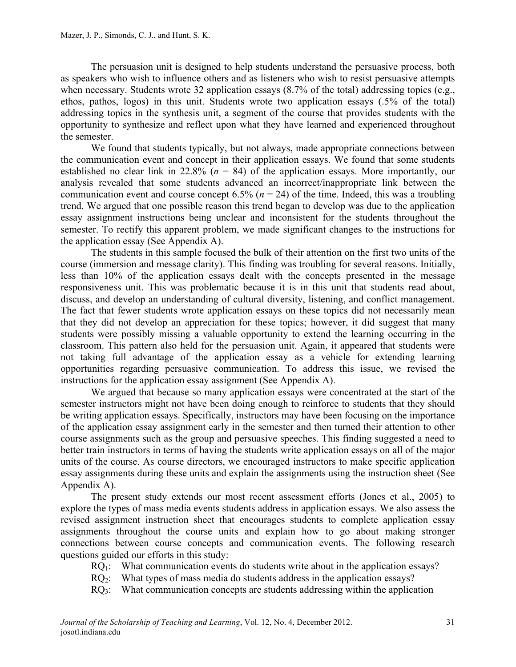The persuasion unit is designed to help students understand the persuasive process, both as speakers who wish to influence others and as listeners who wish to resist persuasive attempts when necessary. Students wrote 32 application essays (8.7% of the total) addressing topics (e.g., ethos, pathos, logos) in this unit. Students wrote two application essays (.5% of the total) addressing topics in the synthesis unit, a segment of the course that provides students with the opportunity to synthesize and reflect upon what they have learned and experienced throughout the semester.

We found that students typically, but not always, made appropriate connections between the communication event and concept in their application essays. We found that some students established no clear link in 22.8% (*n* = 84) of the application essays. More importantly, our analysis revealed that some students advanced an incorrect/inappropriate link between the communication event and course concept 6.5% (*n* = 24) of the time. Indeed, this was a troubling trend. We argued that one possible reason this trend began to develop was due to the application essay assignment instructions being unclear and inconsistent for the students throughout the semester. To rectify this apparent problem, we made significant changes to the instructions for the application essay (See Appendix A).

The students in this sample focused the bulk of their attention on the first two units of the course (immersion and message clarity). This finding was troubling for several reasons. Initially, less than 10% of the application essays dealt with the concepts presented in the message responsiveness unit. This was problematic because it is in this unit that students read about, discuss, and develop an understanding of cultural diversity, listening, and conflict management. The fact that fewer students wrote application essays on these topics did not necessarily mean that they did not develop an appreciation for these topics; however, it did suggest that many students were possibly missing a valuable opportunity to extend the learning occurring in the classroom. This pattern also held for the persuasion unit. Again, it appeared that students were not taking full advantage of the application essay as a vehicle for extending learning opportunities regarding persuasive communication. To address this issue, we revised the instructions for the application essay assignment (See Appendix A).

We argued that because so many application essays were concentrated at the start of the semester instructors might not have been doing enough to reinforce to students that they should be writing application essays. Specifically, instructors may have been focusing on the importance of the application essay assignment early in the semester and then turned their attention to other course assignments such as the group and persuasive speeches. This finding suggested a need to better train instructors in terms of having the students write application essays on all of the major units of the course. As course directors, we encouraged instructors to make specific application essay assignments during these units and explain the assignments using the instruction sheet (See Appendix A).

The present study extends our most recent assessment efforts (Jones et al., 2005) to explore the types of mass media events students address in application essays. We also assess the revised assignment instruction sheet that encourages students to complete application essay assignments throughout the course units and explain how to go about making stronger connections between course concepts and communication events. The following research questions guided our efforts in this study:

- RQ<sub>1</sub>: What communication events do students write about in the application essays?
- RQ<sub>2</sub>: What types of mass media do students address in the application essays?
- RQ<sub>3</sub>: What communication concepts are students addressing within the application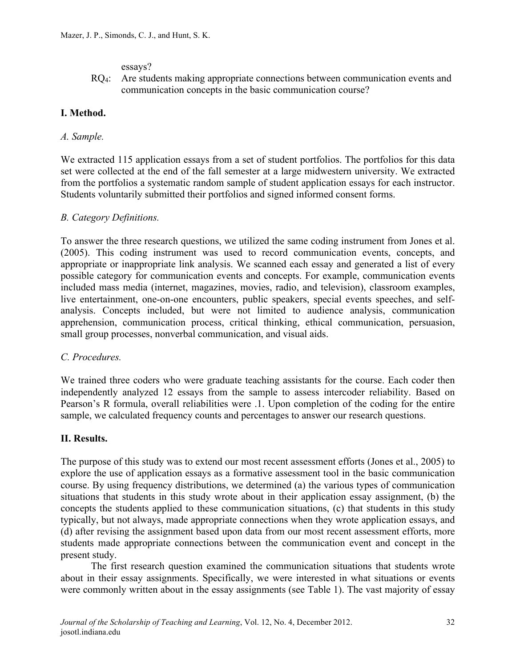essays?

RQ<sub>4</sub>: Are students making appropriate connections between communication events and communication concepts in the basic communication course?

## **I. Method.**

### *A. Sample.*

We extracted 115 application essays from a set of student portfolios. The portfolios for this data set were collected at the end of the fall semester at a large midwestern university. We extracted from the portfolios a systematic random sample of student application essays for each instructor. Students voluntarily submitted their portfolios and signed informed consent forms.

#### *B. Category Definitions.*

To answer the three research questions, we utilized the same coding instrument from Jones et al. (2005). This coding instrument was used to record communication events, concepts, and appropriate or inappropriate link analysis. We scanned each essay and generated a list of every possible category for communication events and concepts. For example, communication events included mass media (internet, magazines, movies, radio, and television), classroom examples, live entertainment, one-on-one encounters, public speakers, special events speeches, and selfanalysis. Concepts included, but were not limited to audience analysis, communication apprehension, communication process, critical thinking, ethical communication, persuasion, small group processes, nonverbal communication, and visual aids.

#### *C. Procedures.*

We trained three coders who were graduate teaching assistants for the course. Each coder then independently analyzed 12 essays from the sample to assess intercoder reliability. Based on Pearson's R formula, overall reliabilities were .1. Upon completion of the coding for the entire sample, we calculated frequency counts and percentages to answer our research questions.

#### **II. Results.**

The purpose of this study was to extend our most recent assessment efforts (Jones et al., 2005) to explore the use of application essays as a formative assessment tool in the basic communication course. By using frequency distributions, we determined (a) the various types of communication situations that students in this study wrote about in their application essay assignment, (b) the concepts the students applied to these communication situations, (c) that students in this study typically, but not always, made appropriate connections when they wrote application essays, and (d) after revising the assignment based upon data from our most recent assessment efforts, more students made appropriate connections between the communication event and concept in the present study.

The first research question examined the communication situations that students wrote about in their essay assignments. Specifically, we were interested in what situations or events were commonly written about in the essay assignments (see Table 1). The vast majority of essay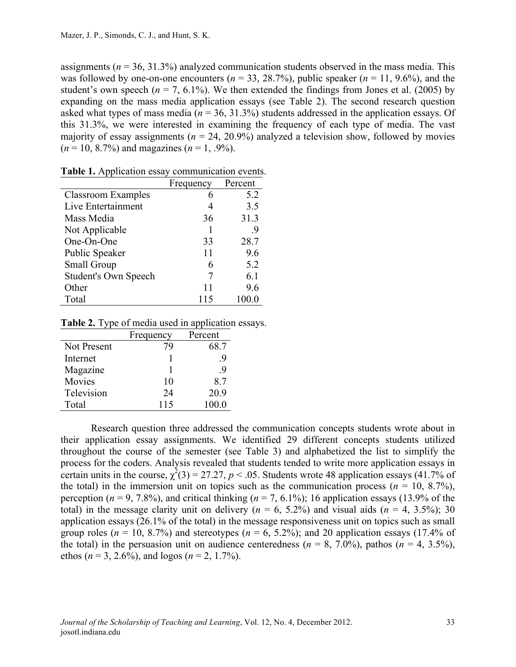assignments (*n* = 36, 31.3%) analyzed communication students observed in the mass media. This was followed by one-on-one encounters ( $n = 33, 28.7\%$ ), public speaker ( $n = 11, 9.6\%$ ), and the student's own speech ( $n = 7, 6.1\%$ ). We then extended the findings from Jones et al. (2005) by expanding on the mass media application essays (see Table 2). The second research question asked what types of mass media (*n* = 36, 31.3%) students addressed in the application essays. Of this 31.3%, we were interested in examining the frequency of each type of media. The vast majority of essay assignments ( $n = 24, 20.9\%$ ) analyzed a television show, followed by movies  $(n = 10, 8.7\%)$  and magazines  $(n = 1, .9\%)$ .

|                             | Frequency | Percent |
|-----------------------------|-----------|---------|
| <b>Classroom Examples</b>   |           | 5.2     |
| Live Entertainment          |           | 3.5     |
| Mass Media                  | 36        | 31.3    |
| Not Applicable              |           | -9      |
| One-On-One                  | 33        | 28.7    |
| Public Speaker              | 11        | 9.6     |
| <b>Small Group</b>          | 6         | 5.2     |
| <b>Student's Own Speech</b> |           | 6.1     |
| Other                       | 11        | 9.6     |
| Total                       | 115       |         |

**Table 1.** Application essay communication events.

#### **Table 2.** Type of media used in application essays.

|             | Frequency | Percent |
|-------------|-----------|---------|
| Not Present | 79        | 68.7    |
| Internet    |           | -9      |
| Magazine    |           | -9      |
| Movies      | 10        | 87      |
| Television  | 24        | 20.9    |
| Total       | 115       | 100.0   |

Research question three addressed the communication concepts students wrote about in their application essay assignments. We identified 29 different concepts students utilized throughout the course of the semester (see Table 3) and alphabetized the list to simplify the process for the coders. Analysis revealed that students tended to write more application essays in certain units in the course,  $\chi^2(3) = 27.27$ ,  $p < .05$ . Students wrote 48 application essays (41.7% of the total) in the immersion unit on topics such as the communication process ( $n = 10, 8.7\%$ ), perception ( $n = 9, 7.8\%$ ), and critical thinking ( $n = 7, 6.1\%$ ); 16 application essays (13.9% of the total) in the message clarity unit on delivery  $(n = 6, 5.2\%)$  and visual aids  $(n = 4, 3.5\%)$ ; 30 application essays (26.1% of the total) in the message responsiveness unit on topics such as small group roles ( $n = 10$ , 8.7%) and stereotypes ( $n = 6$ , 5.2%); and 20 application essays (17.4% of the total) in the persuasion unit on audience centeredness ( $n = 8, 7.0\%$ ), pathos ( $n = 4, 3.5\%$ ), ethos ( $n = 3, 2.6\%$ ), and logos ( $n = 2, 1.7\%$ ).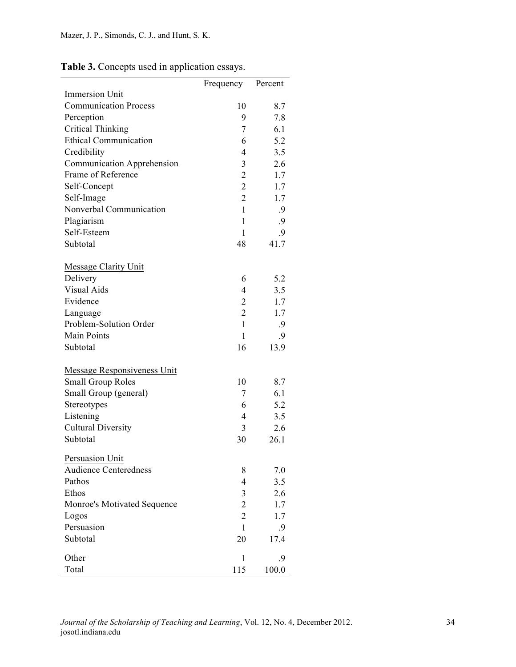|                              | Frequency      | Percent |
|------------------------------|----------------|---------|
| <b>Immersion Unit</b>        |                |         |
| <b>Communication Process</b> | 10             | 8.7     |
| Perception                   | 9              | 7.8     |
| <b>Critical Thinking</b>     | 7              | 6.1     |
| <b>Ethical Communication</b> | 6              | 5.2     |
| Credibility                  | $\overline{4}$ | 3.5     |
| Communication Apprehension   | 3              | 2.6     |
| Frame of Reference           | $\overline{2}$ | 1.7     |
| Self-Concept                 | $\overline{2}$ | 1.7     |
| Self-Image                   | $\overline{2}$ | 1.7     |
| Nonverbal Communication      | $\mathbf{1}$   | .9      |
| Plagiarism                   | 1              | .9      |
| Self-Esteem                  | $\mathbf{1}$   | .9      |
| Subtotal                     | 48             | 41.7    |
| <b>Message Clarity Unit</b>  |                |         |
| Delivery                     | 6              | 5.2     |
| <b>Visual Aids</b>           | $\overline{4}$ | 3.5     |
| Evidence                     | $\overline{2}$ | 1.7     |
| Language                     | $\overline{2}$ | 1.7     |
| Problem-Solution Order       | $\mathbf{1}$   | .9      |
| Main Points                  | 1              | .9      |
| Subtotal                     | 16             | 13.9    |
| Message Responsiveness Unit  |                |         |
| <b>Small Group Roles</b>     | 10             | 8.7     |
| Small Group (general)        | 7              | 6.1     |
| Stereotypes                  | 6              | 5.2     |
| Listening                    | 4              | 3.5     |
| <b>Cultural Diversity</b>    | 3              | 2.6     |
| Subtotal                     | 30             | 26.1    |
| Persuasion Unit              |                |         |
| <b>Audience Centeredness</b> | 8              | 7.0     |
| Pathos                       | $\overline{4}$ | 3.5     |
| Ethos                        | $\mathfrak{Z}$ | 2.6     |
| Monroe's Motivated Sequence  | $\overline{c}$ | 1.7     |
| Logos                        | $\overline{2}$ | 1.7     |
| Persuasion                   | $\mathbf{1}$   | .9      |
| Subtotal                     | 20             | 17.4    |
| Other                        | 1              | .9      |
| Total                        | 115            | 100.0   |

**Table 3.** Concepts used in application essays.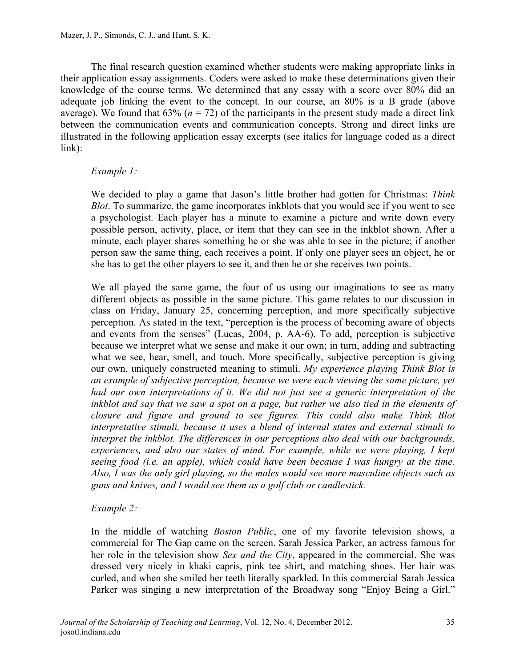The final research question examined whether students were making appropriate links in their application essay assignments. Coders were asked to make these determinations given their knowledge of the course terms. We determined that any essay with a score over 80% did an adequate job linking the event to the concept. In our course, an 80% is a B grade (above average). We found that  $63\%$  ( $n = 72$ ) of the participants in the present study made a direct link between the communication events and communication concepts. Strong and direct links are illustrated in the following application essay excerpts (see italics for language coded as a direct link):

#### *Example 1:*

We decided to play a game that Jason's little brother had gotten for Christmas: *Think Blot*. To summarize, the game incorporates inkblots that you would see if you went to see a psychologist. Each player has a minute to examine a picture and write down every possible person, activity, place, or item that they can see in the inkblot shown. After a minute, each player shares something he or she was able to see in the picture; if another person saw the same thing, each receives a point. If only one player sees an object, he or she has to get the other players to see it, and then he or she receives two points.

We all played the same game, the four of us using our imaginations to see as many different objects as possible in the same picture. This game relates to our discussion in class on Friday, January 25, concerning perception, and more specifically subjective perception. As stated in the text, "perception is the process of becoming aware of objects and events from the senses" (Lucas, 2004, p. AA-6). To add, perception is subjective because we interpret what we sense and make it our own; in turn, adding and subtracting what we see, hear, smell, and touch. More specifically, subjective perception is giving our own, uniquely constructed meaning to stimuli. *My experience playing Think Blot is an example of subjective perception, because we were each viewing the same picture, yet had our own interpretations of it. We did not just see a generic interpretation of the*  inkblot and say that we saw a spot on a page, but rather we also tied in the elements of *closure and figure and ground to see figures. This could also make Think Blot interpretative stimuli, because it uses a blend of internal states and external stimuli to interpret the inkblot. The differences in our perceptions also deal with our backgrounds, experiences, and also our states of mind. For example, while we were playing, I kept seeing food (i.e. an apple), which could have been because I was hungry at the time. Also, I was the only girl playing, so the males would see more masculine objects such as guns and knives, and I would see them as a golf club or candlestick.*

#### *Example 2:*

In the middle of watching *Boston Public*, one of my favorite television shows, a commercial for The Gap came on the screen. Sarah Jessica Parker, an actress famous for her role in the television show *Sex and the City*, appeared in the commercial. She was dressed very nicely in khaki capris, pink tee shirt, and matching shoes. Her hair was curled, and when she smiled her teeth literally sparkled. In this commercial Sarah Jessica Parker was singing a new interpretation of the Broadway song "Enjoy Being a Girl."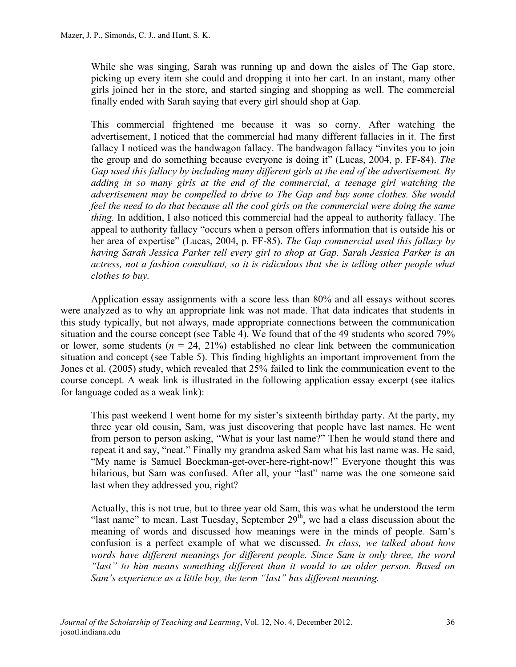While she was singing, Sarah was running up and down the aisles of The Gap store, picking up every item she could and dropping it into her cart. In an instant, many other girls joined her in the store, and started singing and shopping as well. The commercial finally ended with Sarah saying that every girl should shop at Gap.

This commercial frightened me because it was so corny. After watching the advertisement, I noticed that the commercial had many different fallacies in it. The first fallacy I noticed was the bandwagon fallacy. The bandwagon fallacy "invites you to join the group and do something because everyone is doing it" (Lucas, 2004, p. FF-84). *The Gap used this fallacy by including many different girls at the end of the advertisement. By adding in so many girls at the end of the commercial, a teenage girl watching the advertisement may be compelled to drive to The Gap and buy some clothes. She would feel the need to do that because all the cool girls on the commercial were doing the same thing.* In addition, I also noticed this commercial had the appeal to authority fallacy. The appeal to authority fallacy "occurs when a person offers information that is outside his or her area of expertise" (Lucas, 2004, p. FF-85). *The Gap commercial used this fallacy by having Sarah Jessica Parker tell every girl to shop at Gap. Sarah Jessica Parker is an*  actress, not a fashion consultant, so it is ridiculous that she is telling other people what *clothes to buy.*

Application essay assignments with a score less than 80% and all essays without scores were analyzed as to why an appropriate link was not made. That data indicates that students in this study typically, but not always, made appropriate connections between the communication situation and the course concept (see Table 4). We found that of the 49 students who scored 79% or lower, some students  $(n = 24, 21\%)$  established no clear link between the communication situation and concept (see Table 5). This finding highlights an important improvement from the Jones et al. (2005) study, which revealed that 25% failed to link the communication event to the course concept. A weak link is illustrated in the following application essay excerpt (see italics for language coded as a weak link):

This past weekend I went home for my sister's sixteenth birthday party. At the party, my three year old cousin, Sam, was just discovering that people have last names. He went from person to person asking, "What is your last name?" Then he would stand there and repeat it and say, "neat." Finally my grandma asked Sam what his last name was. He said, "My name is Samuel Boeckman-get-over-here-right-now!" Everyone thought this was hilarious, but Sam was confused. After all, your "last" name was the one someone said last when they addressed you, right?

Actually, this is not true, but to three year old Sam, this was what he understood the term "last name" to mean. Last Tuesday, September  $29<sup>th</sup>$ , we had a class discussion about the meaning of words and discussed how meanings were in the minds of people. Sam's confusion is a perfect example of what we discussed. *In class, we talked about how words have different meanings for different people. Since Sam is only three, the word "last" to him means something different than it would to an older person. Based on Sam's experience as a little boy, the term "last" has different meaning.*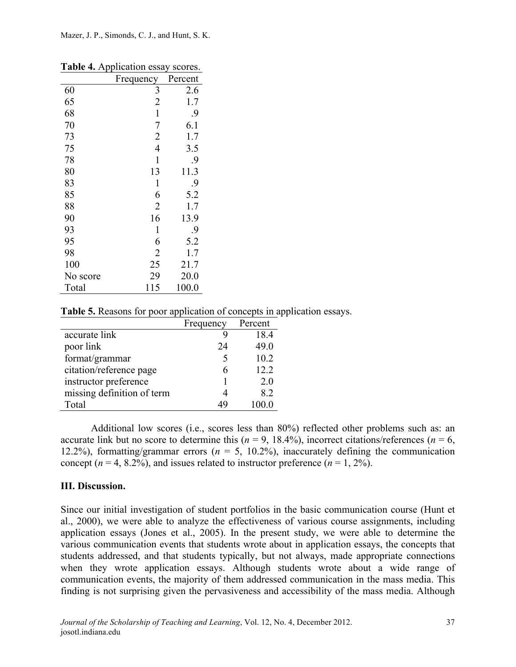|          | Frequency      | Percent |
|----------|----------------|---------|
| 60       | 3              | 2.6     |
| 65       | $\overline{2}$ | 1.7     |
| 68       | $\mathbf{1}$   | 9.      |
| 70       | 7              | 6.1     |
| 73       | $\overline{2}$ | 1.7     |
| 75       | $\overline{4}$ | 3.5     |
| 78       | 1              | .9      |
| 80       | 13             | 11.3    |
| 83       | 1              | 9.      |
| 85       | 6              | 5.2     |
| 88       | $\overline{2}$ | 1.7     |
| 90       | 16             | 13.9    |
| 93       | 1              | 9.      |
| 95       | 6              | 5.2     |
| 98       | $\overline{2}$ | 1.7     |
| 100      | 25             | 21.7    |
| No score | 29             | 20.0    |
| Total    | 115            | 100.0   |

**Table 4.** Application essay scores.

|  |  | Table 5. Reasons for poor application of concepts in application essays. |
|--|--|--------------------------------------------------------------------------|
|  |  |                                                                          |

|                            | Frequency | Percent |
|----------------------------|-----------|---------|
| accurate link              |           | 18.4    |
| poor link                  | 24        | 49.0    |
| format/grammar             | 5         | 10.2    |
| citation/reference page    |           | 12.2    |
| instructor preference      |           | 20      |
| missing definition of term | 4         | 8.2     |
| Total                      | 49        |         |

Additional low scores (i.e., scores less than 80%) reflected other problems such as: an accurate link but no score to determine this  $(n = 9, 18.4\%)$ , incorrect citations/references  $(n = 6, 18.4\%)$ 12.2%), formatting/grammar errors  $(n = 5, 10.2\%)$ , inaccurately defining the communication concept ( $n = 4$ , 8.2%), and issues related to instructor preference ( $n = 1, 2\%$ ).

## **III. Discussion.**

Since our initial investigation of student portfolios in the basic communication course (Hunt et al., 2000), we were able to analyze the effectiveness of various course assignments, including application essays (Jones et al., 2005). In the present study, we were able to determine the various communication events that students wrote about in application essays, the concepts that students addressed, and that students typically, but not always, made appropriate connections when they wrote application essays. Although students wrote about a wide range of communication events, the majority of them addressed communication in the mass media. This finding is not surprising given the pervasiveness and accessibility of the mass media. Although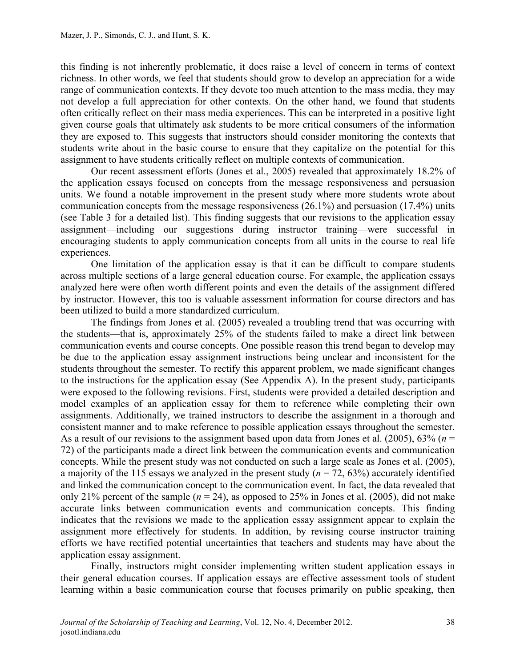this finding is not inherently problematic, it does raise a level of concern in terms of context richness. In other words, we feel that students should grow to develop an appreciation for a wide range of communication contexts. If they devote too much attention to the mass media, they may not develop a full appreciation for other contexts. On the other hand, we found that students often critically reflect on their mass media experiences. This can be interpreted in a positive light given course goals that ultimately ask students to be more critical consumers of the information they are exposed to. This suggests that instructors should consider monitoring the contexts that students write about in the basic course to ensure that they capitalize on the potential for this assignment to have students critically reflect on multiple contexts of communication.

Our recent assessment efforts (Jones et al., 2005) revealed that approximately 18.2% of the application essays focused on concepts from the message responsiveness and persuasion units. We found a notable improvement in the present study where more students wrote about communication concepts from the message responsiveness (26.1%) and persuasion (17.4%) units (see Table 3 for a detailed list). This finding suggests that our revisions to the application essay assignment—including our suggestions during instructor training—were successful in encouraging students to apply communication concepts from all units in the course to real life experiences.

One limitation of the application essay is that it can be difficult to compare students across multiple sections of a large general education course. For example, the application essays analyzed here were often worth different points and even the details of the assignment differed by instructor. However, this too is valuable assessment information for course directors and has been utilized to build a more standardized curriculum.

The findings from Jones et al. (2005) revealed a troubling trend that was occurring with the students—that is, approximately 25% of the students failed to make a direct link between communication events and course concepts. One possible reason this trend began to develop may be due to the application essay assignment instructions being unclear and inconsistent for the students throughout the semester. To rectify this apparent problem, we made significant changes to the instructions for the application essay (See Appendix A). In the present study, participants were exposed to the following revisions. First, students were provided a detailed description and model examples of an application essay for them to reference while completing their own assignments. Additionally, we trained instructors to describe the assignment in a thorough and consistent manner and to make reference to possible application essays throughout the semester. As a result of our revisions to the assignment based upon data from Jones et al. (2005), 63% (*n* = 72) of the participants made a direct link between the communication events and communication concepts. While the present study was not conducted on such a large scale as Jones et al. (2005), a majority of the 115 essays we analyzed in the present study  $(n = 72, 63%)$  accurately identified and linked the communication concept to the communication event. In fact, the data revealed that only 21% percent of the sample  $(n = 24)$ , as opposed to 25% in Jones et al. (2005), did not make accurate links between communication events and communication concepts. This finding indicates that the revisions we made to the application essay assignment appear to explain the assignment more effectively for students. In addition, by revising course instructor training efforts we have rectified potential uncertainties that teachers and students may have about the application essay assignment.

Finally, instructors might consider implementing written student application essays in their general education courses. If application essays are effective assessment tools of student learning within a basic communication course that focuses primarily on public speaking, then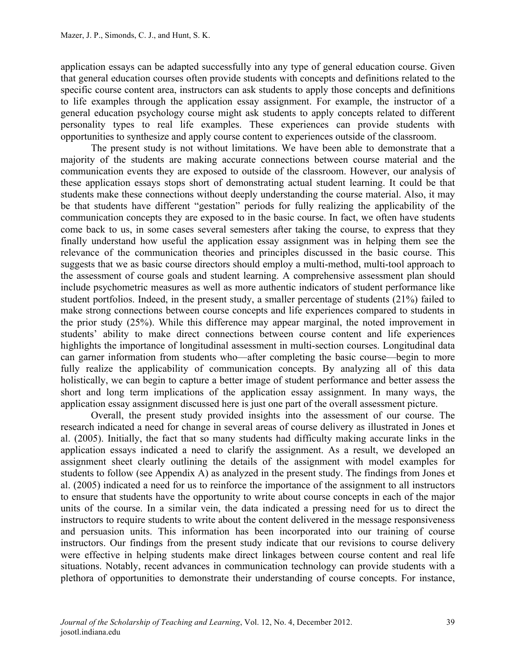application essays can be adapted successfully into any type of general education course. Given that general education courses often provide students with concepts and definitions related to the specific course content area, instructors can ask students to apply those concepts and definitions to life examples through the application essay assignment. For example, the instructor of a general education psychology course might ask students to apply concepts related to different personality types to real life examples. These experiences can provide students with opportunities to synthesize and apply course content to experiences outside of the classroom.

The present study is not without limitations. We have been able to demonstrate that a majority of the students are making accurate connections between course material and the communication events they are exposed to outside of the classroom. However, our analysis of these application essays stops short of demonstrating actual student learning. It could be that students make these connections without deeply understanding the course material. Also, it may be that students have different "gestation" periods for fully realizing the applicability of the communication concepts they are exposed to in the basic course. In fact, we often have students come back to us, in some cases several semesters after taking the course, to express that they finally understand how useful the application essay assignment was in helping them see the relevance of the communication theories and principles discussed in the basic course. This suggests that we as basic course directors should employ a multi-method, multi-tool approach to the assessment of course goals and student learning. A comprehensive assessment plan should include psychometric measures as well as more authentic indicators of student performance like student portfolios. Indeed, in the present study, a smaller percentage of students (21%) failed to make strong connections between course concepts and life experiences compared to students in the prior study (25%). While this difference may appear marginal, the noted improvement in students' ability to make direct connections between course content and life experiences highlights the importance of longitudinal assessment in multi-section courses. Longitudinal data can garner information from students who—after completing the basic course—begin to more fully realize the applicability of communication concepts. By analyzing all of this data holistically, we can begin to capture a better image of student performance and better assess the short and long term implications of the application essay assignment. In many ways, the application essay assignment discussed here is just one part of the overall assessment picture.

Overall, the present study provided insights into the assessment of our course. The research indicated a need for change in several areas of course delivery as illustrated in Jones et al. (2005). Initially, the fact that so many students had difficulty making accurate links in the application essays indicated a need to clarify the assignment. As a result, we developed an assignment sheet clearly outlining the details of the assignment with model examples for students to follow (see Appendix A) as analyzed in the present study. The findings from Jones et al. (2005) indicated a need for us to reinforce the importance of the assignment to all instructors to ensure that students have the opportunity to write about course concepts in each of the major units of the course. In a similar vein, the data indicated a pressing need for us to direct the instructors to require students to write about the content delivered in the message responsiveness and persuasion units. This information has been incorporated into our training of course instructors. Our findings from the present study indicate that our revisions to course delivery were effective in helping students make direct linkages between course content and real life situations. Notably, recent advances in communication technology can provide students with a plethora of opportunities to demonstrate their understanding of course concepts. For instance,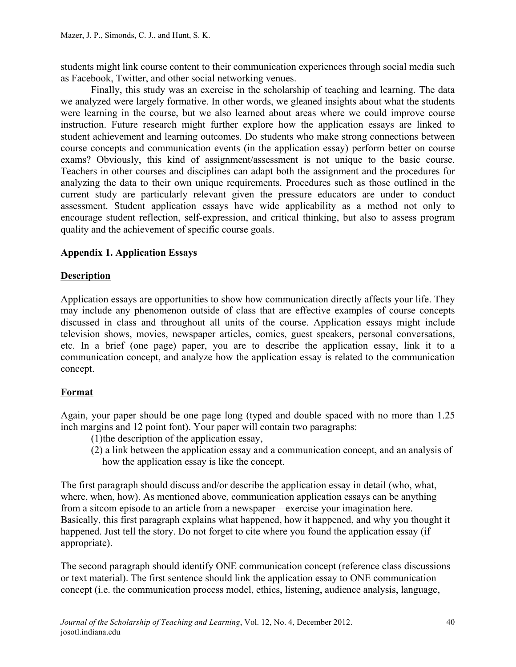students might link course content to their communication experiences through social media such as Facebook, Twitter, and other social networking venues.

Finally, this study was an exercise in the scholarship of teaching and learning. The data we analyzed were largely formative. In other words, we gleaned insights about what the students were learning in the course, but we also learned about areas where we could improve course instruction. Future research might further explore how the application essays are linked to student achievement and learning outcomes. Do students who make strong connections between course concepts and communication events (in the application essay) perform better on course exams? Obviously, this kind of assignment/assessment is not unique to the basic course. Teachers in other courses and disciplines can adapt both the assignment and the procedures for analyzing the data to their own unique requirements. Procedures such as those outlined in the current study are particularly relevant given the pressure educators are under to conduct assessment. Student application essays have wide applicability as a method not only to encourage student reflection, self-expression, and critical thinking, but also to assess program quality and the achievement of specific course goals.

## **Appendix 1. Application Essays**

#### **Description**

Application essays are opportunities to show how communication directly affects your life. They may include any phenomenon outside of class that are effective examples of course concepts discussed in class and throughout all units of the course. Application essays might include television shows, movies, newspaper articles, comics, guest speakers, personal conversations, etc. In a brief (one page) paper, you are to describe the application essay, link it to a communication concept, and analyze how the application essay is related to the communication concept.

## **Format**

Again, your paper should be one page long (typed and double spaced with no more than 1.25 inch margins and 12 point font). Your paper will contain two paragraphs:

- (1)the description of the application essay,
- (2) a link between the application essay and a communication concept, and an analysis of how the application essay is like the concept.

The first paragraph should discuss and/or describe the application essay in detail (who, what, where, when, how). As mentioned above, communication application essays can be anything from a sitcom episode to an article from a newspaper—exercise your imagination here. Basically, this first paragraph explains what happened, how it happened, and why you thought it happened. Just tell the story. Do not forget to cite where you found the application essay (if appropriate).

The second paragraph should identify ONE communication concept (reference class discussions or text material). The first sentence should link the application essay to ONE communication concept (i.e. the communication process model, ethics, listening, audience analysis, language,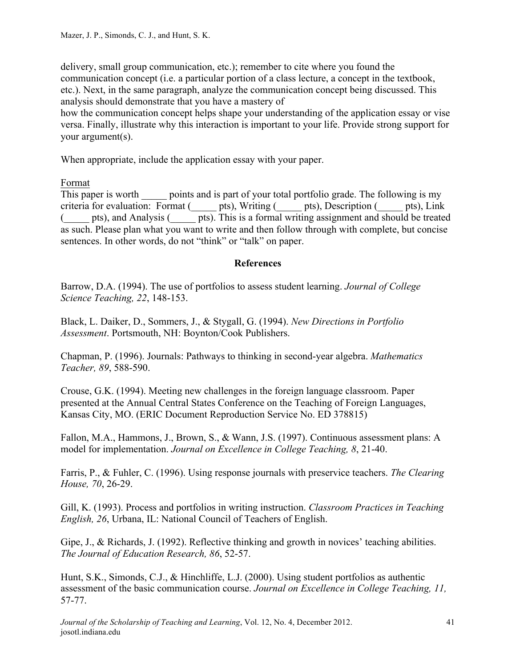delivery, small group communication, etc.); remember to cite where you found the communication concept (i.e. a particular portion of a class lecture, a concept in the textbook, etc.). Next, in the same paragraph, analyze the communication concept being discussed. This analysis should demonstrate that you have a mastery of

how the communication concept helps shape your understanding of the application essay or vise versa. Finally, illustrate why this interaction is important to your life. Provide strong support for your argument(s).

When appropriate, include the application essay with your paper.

Format

This paper is worth points and is part of your total portfolio grade. The following is my criteria for evaluation: Format (\_\_\_\_\_ pts), Writing (\_\_\_\_\_ pts), Description (\_\_\_\_\_ pts), Link (\_\_\_\_\_ pts), and Analysis (\_\_\_\_\_ pts). This is a formal writing assignment and should be treated as such. Please plan what you want to write and then follow through with complete, but concise sentences. In other words, do not "think" or "talk" on paper.

## **References**

Barrow, D.A. (1994). The use of portfolios to assess student learning. *Journal of College Science Teaching, 22*, 148-153.

Black, L. Daiker, D., Sommers, J., & Stygall, G. (1994). *New Directions in Portfolio Assessment*. Portsmouth, NH: Boynton/Cook Publishers.

Chapman, P. (1996). Journals: Pathways to thinking in second-year algebra. *Mathematics Teacher, 89*, 588-590.

Crouse, G.K. (1994). Meeting new challenges in the foreign language classroom. Paper presented at the Annual Central States Conference on the Teaching of Foreign Languages, Kansas City, MO. (ERIC Document Reproduction Service No. ED 378815)

Fallon, M.A., Hammons, J., Brown, S., & Wann, J.S. (1997). Continuous assessment plans: A model for implementation. *Journal on Excellence in College Teaching, 8*, 21-40.

Farris, P., & Fuhler, C. (1996). Using response journals with preservice teachers. *The Clearing House, 70*, 26-29.

Gill, K. (1993). Process and portfolios in writing instruction. *Classroom Practices in Teaching English, 26*, Urbana, IL: National Council of Teachers of English.

Gipe, J., & Richards, J. (1992). Reflective thinking and growth in novices' teaching abilities. *The Journal of Education Research, 86*, 52-57.

Hunt, S.K., Simonds, C.J., & Hinchliffe, L.J. (2000). Using student portfolios as authentic assessment of the basic communication course. *Journal on Excellence in College Teaching, 11,* 57-77.